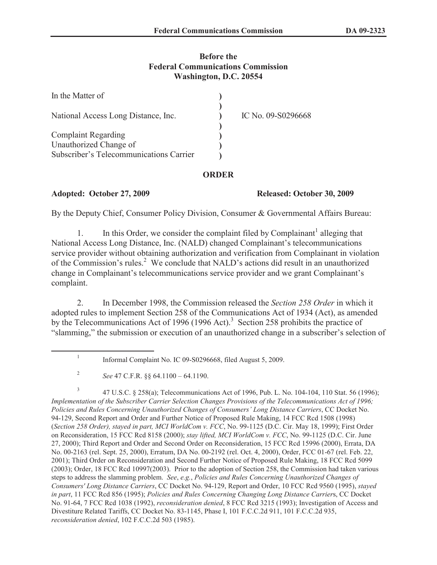## **Before the Federal Communications Commission Washington, D.C. 20554**

| In the Matter of                        |                    |
|-----------------------------------------|--------------------|
| National Access Long Distance, Inc.     | IC No. 09-S0296668 |
| <b>Complaint Regarding</b>              |                    |
| Unauthorized Change of                  |                    |
| Subscriber's Telecommunications Carrier |                    |

## **ORDER**

## **Adopted: October 27, 2009 Released: October 30, 2009**

By the Deputy Chief, Consumer Policy Division, Consumer & Governmental Affairs Bureau:

1. In this Order, we consider the complaint filed by Complainant<sup>1</sup> alleging that National Access Long Distance, Inc. (NALD) changed Complainant's telecommunications service provider without obtaining authorization and verification from Complainant in violation of the Commission's rules.<sup>2</sup> We conclude that NALD's actions did result in an unauthorized change in Complainant's telecommunications service provider and we grant Complainant's complaint.

2. In December 1998, the Commission released the *Section 258 Order* in which it adopted rules to implement Section 258 of the Communications Act of 1934 (Act), as amended by the Telecommunications Act of 1996 (1996 Act).<sup>3</sup> Section 258 prohibits the practice of "slamming," the submission or execution of an unauthorized change in a subscriber's selection of

3 47 U.S.C. § 258(a); Telecommunications Act of 1996, Pub. L. No. 104-104, 110 Stat. 56 (1996); *Implementation of the Subscriber Carrier Selection Changes Provisions of the Telecommunications Act of 1996; Policies and Rules Concerning Unauthorized Changes of Consumers' Long Distance Carriers*, CC Docket No. 94-129, Second Report and Order and Further Notice of Proposed Rule Making, 14 FCC Rcd 1508 (1998) (*Section 258 Order), stayed in part, MCI WorldCom v. FCC*, No. 99-1125 (D.C. Cir. May 18, 1999); First Order on Reconsideration, 15 FCC Rcd 8158 (2000); *stay lifted, MCI WorldCom v. FCC*, No. 99-1125 (D.C. Cir. June 27, 2000); Third Report and Order and Second Order on Reconsideration, 15 FCC Rcd 15996 (2000), Errata, DA No. 00-2163 (rel. Sept. 25, 2000), Erratum, DA No. 00-2192 (rel. Oct. 4, 2000), Order, FCC 01-67 (rel. Feb. 22, 2001); Third Order on Reconsideration and Second Further Notice of Proposed Rule Making, 18 FCC Rcd 5099 (2003); Order, 18 FCC Rcd 10997(2003). Prior to the adoption of Section 258, the Commission had taken various steps to address the slamming problem. *See*, *e.g.*, *Policies and Rules Concerning Unauthorized Changes of Consumers' Long Distance Carriers*, CC Docket No. 94-129, Report and Order, 10 FCC Rcd 9560 (1995), *stayed in part*, 11 FCC Rcd 856 (1995); *Policies and Rules Concerning Changing Long Distance Carrier*s, CC Docket No. 91-64, 7 FCC Rcd 1038 (1992), *reconsideration denied*, 8 FCC Rcd 3215 (1993); Investigation of Access and Divestiture Related Tariffs, CC Docket No. 83-1145, Phase I, 101 F.C.C.2d 911, 101 F.C.C.2d 935, *reconsideration denied*, 102 F.C.C.2d 503 (1985).

<sup>1</sup> Informal Complaint No. IC 09-S0296668, filed August 5, 2009.

<sup>2</sup> *See* 47 C.F.R. §§ 64.1100 – 64.1190.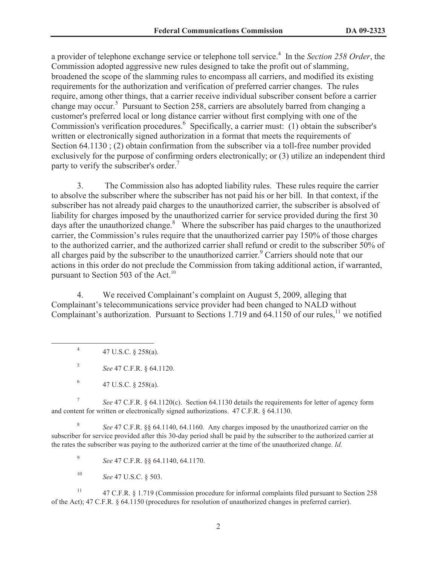a provider of telephone exchange service or telephone toll service.<sup>4</sup> In the *Section 258 Order*, the Commission adopted aggressive new rules designed to take the profit out of slamming, broadened the scope of the slamming rules to encompass all carriers, and modified its existing requirements for the authorization and verification of preferred carrier changes. The rules require, among other things, that a carrier receive individual subscriber consent before a carrier change may occur.<sup>5</sup> Pursuant to Section 258, carriers are absolutely barred from changing a customer's preferred local or long distance carrier without first complying with one of the Commission's verification procedures.<sup>6</sup> Specifically, a carrier must: (1) obtain the subscriber's written or electronically signed authorization in a format that meets the requirements of Section 64.1130 ; (2) obtain confirmation from the subscriber via a toll-free number provided exclusively for the purpose of confirming orders electronically; or (3) utilize an independent third party to verify the subscriber's order.<sup>7</sup>

3. The Commission also has adopted liability rules. These rules require the carrier to absolve the subscriber where the subscriber has not paid his or her bill. In that context, if the subscriber has not already paid charges to the unauthorized carrier, the subscriber is absolved of liability for charges imposed by the unauthorized carrier for service provided during the first 30 days after the unauthorized change. $8\text{ }$  Where the subscriber has paid charges to the unauthorized carrier, the Commission's rules require that the unauthorized carrier pay 150% of those charges to the authorized carrier, and the authorized carrier shall refund or credit to the subscriber 50% of all charges paid by the subscriber to the unauthorized carrier.<sup>9</sup> Carriers should note that our actions in this order do not preclude the Commission from taking additional action, if warranted, pursuant to Section 503 of the Act.<sup>10</sup>

4. We received Complainant's complaint on August 5, 2009, alleging that Complainant's telecommunications service provider had been changed to NALD without Complainant's authorization. Pursuant to Sections 1.719 and 64.1150 of our rules,  $^{11}$  we notified

4 47 U.S.C. § 258(a).

5 *See* 47 C.F.R. § 64.1120.

7 *See* 47 C.F.R. § 64.1120(c). Section 64.1130 details the requirements for letter of agency form and content for written or electronically signed authorizations. 47 C.F.R. § 64.1130.

8 *See* 47 C.F.R. §§ 64.1140, 64.1160. Any charges imposed by the unauthorized carrier on the subscriber for service provided after this 30-day period shall be paid by the subscriber to the authorized carrier at the rates the subscriber was paying to the authorized carrier at the time of the unauthorized change. *Id.*

9 *See* 47 C.F.R. §§ 64.1140, 64.1170.

<sup>10</sup> *See* 47 U.S.C. § 503.

<sup>11</sup> 47 C.F.R. § 1.719 (Commission procedure for informal complaints filed pursuant to Section 258 of the Act); 47 C.F.R. § 64.1150 (procedures for resolution of unauthorized changes in preferred carrier).

<sup>6</sup> 47 U.S.C. § 258(a).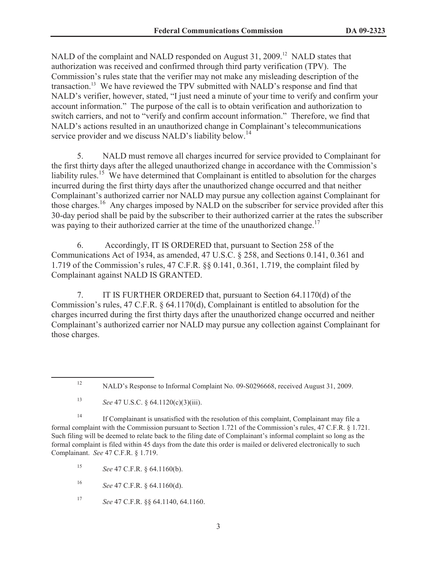NALD of the complaint and NALD responded on August 31, 2009.<sup>12</sup> NALD states that authorization was received and confirmed through third party verification (TPV). The Commission's rules state that the verifier may not make any misleading description of the transaction.<sup>13</sup> We have reviewed the TPV submitted with NALD's response and find that NALD's verifier, however, stated, "I just need a minute of your time to verify and confirm your account information." The purpose of the call is to obtain verification and authorization to switch carriers, and not to "verify and confirm account information." Therefore, we find that NALD's actions resulted in an unauthorized change in Complainant's telecommunications service provider and we discuss NALD's liability below.<sup>14</sup>

5. NALD must remove all charges incurred for service provided to Complainant for the first thirty days after the alleged unauthorized change in accordance with the Commission's liability rules.<sup>15</sup> We have determined that Complainant is entitled to absolution for the charges incurred during the first thirty days after the unauthorized change occurred and that neither Complainant's authorized carrier nor NALD may pursue any collection against Complainant for those charges.<sup>16</sup> Any charges imposed by NALD on the subscriber for service provided after this 30-day period shall be paid by the subscriber to their authorized carrier at the rates the subscriber was paying to their authorized carrier at the time of the unauthorized change.<sup>17</sup>

6. Accordingly, IT IS ORDERED that, pursuant to Section 258 of the Communications Act of 1934, as amended, 47 U.S.C. § 258, and Sections 0.141, 0.361 and 1.719 of the Commission's rules, 47 C.F.R. §§ 0.141, 0.361, 1.719, the complaint filed by Complainant against NALD IS GRANTED.

7. IT IS FURTHER ORDERED that, pursuant to Section 64.1170(d) of the Commission's rules, 47 C.F.R. § 64.1170(d), Complainant is entitled to absolution for the charges incurred during the first thirty days after the unauthorized change occurred and neither Complainant's authorized carrier nor NALD may pursue any collection against Complainant for those charges.

<sup>13</sup> *See* 47 U.S.C. § 64.1120(c)(3)(iii).

<sup>14</sup> If Complainant is unsatisfied with the resolution of this complaint, Complainant may file a formal complaint with the Commission pursuant to Section 1.721 of the Commission's rules, 47 C.F.R. § 1.721. Such filing will be deemed to relate back to the filing date of Complainant's informal complaint so long as the formal complaint is filed within 45 days from the date this order is mailed or delivered electronically to such Complainant. *See* 47 C.F.R. § 1.719.

<sup>15</sup> *See* 47 C.F.R. § 64.1160(b).

<sup>16</sup> *See* 47 C.F.R. § 64.1160(d).

<sup>17</sup> *See* 47 C.F.R. §§ 64.1140, 64.1160.

<sup>12</sup> NALD's Response to Informal Complaint No. 09-S0296668, received August 31, 2009.